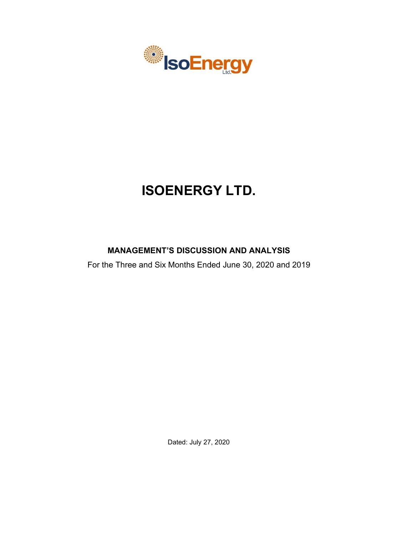

# **ISOENERGY LTD.**

# **MANAGEMENT'S DISCUSSION AND ANALYSIS**

For the Three and Six Months Ended June 30, 2020 and 2019

Dated: July 27, 2020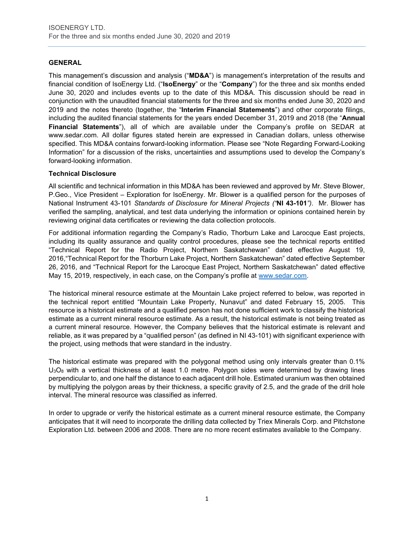# **GENERAL**

This management's discussion and analysis ("**MD&A**") is management's interpretation of the results and financial condition of IsoEnergy Ltd. ("**IsoEnergy**" or the "**Company**") for the three and six months ended June 30, 2020 and includes events up to the date of this MD&A. This discussion should be read in conjunction with the unaudited financial statements for the three and six months ended June 30, 2020 and 2019 and the notes thereto (together, the "**Interim Financial Statements**") and other corporate filings, including the audited financial statements for the years ended December 31, 2019 and 2018 (the "**Annual Financial Statements**"), all of which are available under the Company's profile on SEDAR at www.sedar.com. All dollar figures stated herein are expressed in Canadian dollars, unless otherwise specified. This MD&A contains forward-looking information. Please see "Note Regarding Forward-Looking Information" for a discussion of the risks, uncertainties and assumptions used to develop the Company's forward-looking information.

# **Technical Disclosure**

All scientific and technical information in this MD&A has been reviewed and approved by Mr. Steve Blower, P.Geo., Vice President – Exploration for IsoEnergy. Mr. Blower is a qualified person for the purposes of National Instrument 43-101 *Standards of Disclosure for Mineral Projects ("***NI 43-101***")*. Mr. Blower has verified the sampling, analytical, and test data underlying the information or opinions contained herein by reviewing original data certificates or reviewing the data collection protocols.

For additional information regarding the Company's Radio, Thorburn Lake and Larocque East projects, including its quality assurance and quality control procedures, please see the technical reports entitled "Technical Report for the Radio Project, Northern Saskatchewan" dated effective August 19, 2016,"Technical Report for the Thorburn Lake Project, Northern Saskatchewan" dated effective September 26, 2016, and "Technical Report for the Larocque East Project, Northern Saskatchewan" dated effective May 15, 2019, respectively, in each case, on the Company's profile at [www.sedar.com.](http://www.sedar.com/)

The historical mineral resource estimate at the Mountain Lake project referred to below, was reported in the technical report entitled "Mountain Lake Property, Nunavut" and dated February 15, 2005. This resource is a historical estimate and a qualified person has not done sufficient work to classify the historical estimate as a current mineral resource estimate. As a result, the historical estimate is not being treated as a current mineral resource. However, the Company believes that the historical estimate is relevant and reliable, as it was prepared by a "qualified person" (as defined in NI 43-101) with significant experience with the project, using methods that were standard in the industry.

The historical estimate was prepared with the polygonal method using only intervals greater than 0.1%  $U_3O_8$  with a vertical thickness of at least 1.0 metre. Polygon sides were determined by drawing lines perpendicular to, and one half the distance to each adjacent drill hole. Estimated uranium was then obtained by multiplying the polygon areas by their thickness, a specific gravity of 2.5, and the grade of the drill hole interval. The mineral resource was classified as inferred.

In order to upgrade or verify the historical estimate as a current mineral resource estimate, the Company anticipates that it will need to incorporate the drilling data collected by Triex Minerals Corp. and Pitchstone Exploration Ltd. between 2006 and 2008. There are no more recent estimates available to the Company.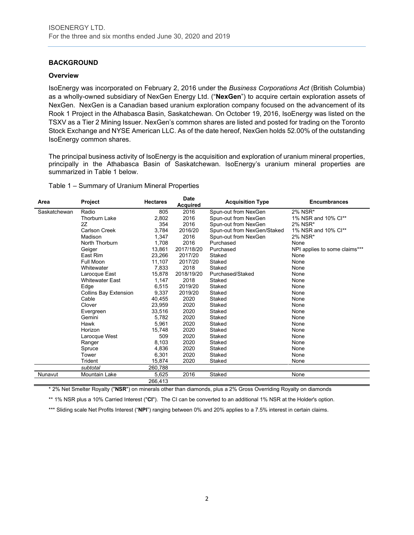# **BACKGROUND**

#### **Overview**

IsoEnergy was incorporated on February 2, 2016 under the *Business Corporations Act* (British Columbia) as a wholly-owned subsidiary of NexGen Energy Ltd. ("**NexGen**") to acquire certain exploration assets of NexGen. NexGen is a Canadian based uranium exploration company focused on the advancement of its Rook 1 Project in the Athabasca Basin, Saskatchewan. On October 19, 2016, IsoEnergy was listed on the TSXV as a Tier 2 Mining Issuer. NexGen's common shares are listed and posted for trading on the Toronto Stock Exchange and NYSE American LLC. As of the date hereof, NexGen holds 52.00% of the outstanding IsoEnergy common shares.

The principal business activity of IsoEnergy is the acquisition and exploration of uranium mineral properties, principally in the Athabasca Basin of Saskatchewan. IsoEnergy's uranium mineral properties are summarized in Table 1 below.

Table 1 – Summary of Uranium Mineral Properties

| Area         | Project                | <b>Hectares</b> | <b>Date</b><br><b>Acquired</b> | <b>Acquisition Type</b>     | <b>Encumbrances</b>           |
|--------------|------------------------|-----------------|--------------------------------|-----------------------------|-------------------------------|
| Saskatchewan | Radio                  | 805             | 2016                           | Spun-out from NexGen        | 2% NSR*                       |
|              | <b>Thorburn Lake</b>   | 2,802           | 2016                           | Spun-out from NexGen        | 1% NSR and 10% Cl**           |
|              | 2Z                     | 354             | 2016                           | Spun-out from NexGen        | 2% NSR*                       |
|              | Carlson Creek          | 3,784           | 2016/20                        | Spun-out from NexGen/Staked | 1% NSR and 10% Cl**           |
|              | Madison                | 1,347           | 2016                           | Spun-out from NexGen        | 2% NSR*                       |
|              | North Thorburn         | 1,708           | 2016                           | Purchased                   | None                          |
|              | Geiger                 | 13,861          | 2017/18/20                     | Purchased                   | NPI applies to some claims*** |
|              | East Rim               | 23,266          | 2017/20                        | Staked                      | None                          |
|              | Full Moon              | 11,107          | 2017/20                        | Staked                      | None                          |
|              | Whitewater             | 7,833           | 2018                           | Staked                      | None                          |
|              | Larocque East          | 15,878          | 2018/19/20                     | Purchased/Staked            | None                          |
|              | <b>Whitewater East</b> | 1,147           | 2018                           | Staked                      | None                          |
|              | Edge                   | 6,515           | 2019/20                        | Staked                      | None                          |
|              | Collins Bay Extension  | 9,337           | 2019/20                        | Staked                      | None                          |
|              | Cable                  | 40,455          | 2020                           | Staked                      | None                          |
|              | Clover                 | 23,959          | 2020                           | Staked                      | None                          |
|              | Evergreen              | 33,516          | 2020                           | Staked                      | None                          |
|              | Gemini                 | 5,782           | 2020                           | Staked                      | None                          |
|              | Hawk                   | 5,961           | 2020                           | Staked                      | None                          |
|              | Horizon                | 15,748          | 2020                           | Staked                      | None                          |
|              | Larocque West          | 509             | 2020                           | Staked                      | None                          |
|              | Ranger                 | 8,103           | 2020                           | Staked                      | None                          |
|              | Spruce                 | 4,836           | 2020                           | Staked                      | None                          |
|              | Tower                  | 6,301           | 2020                           | Staked                      | None                          |
|              | Trident                | 15,874          | 2020                           | Staked                      | None                          |
|              | subtotal               | 260,788         |                                |                             |                               |
| Nunavut      | Mountain Lake          | 5,625           | 2016                           | Staked                      | None                          |
|              |                        | 266,413         |                                |                             |                               |

\* 2% Net Smelter Royalty ("**NSR**") on minerals other than diamonds, plus a 2% Gross Overriding Royalty on diamonds

\*\* 1% NSR plus a 10% Carried Interest ("**CI**"). The CI can be converted to an additional 1% NSR at the Holder's option.

\*\*\* Sliding scale Net Profits Interest ("NPI") ranging between 0% and 20% applies to a 7.5% interest in certain claims.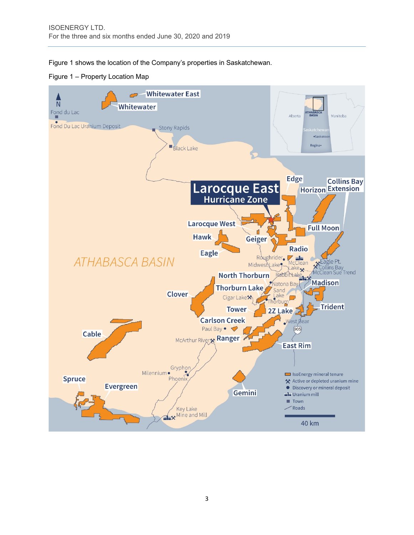Figure 1 shows the location of the Company's properties in Saskatchewan.

Figure 1 – Property Location Map

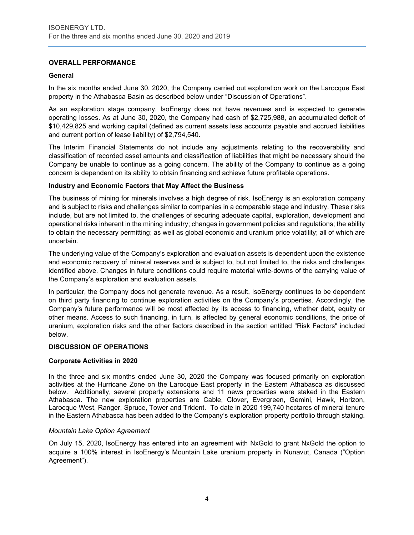# **OVERALL PERFORMANCE**

#### **General**

In the six months ended June 30, 2020, the Company carried out exploration work on the Larocque East property in the Athabasca Basin as described below under "Discussion of Operations".

As an exploration stage company, IsoEnergy does not have revenues and is expected to generate operating losses. As at June 30, 2020, the Company had cash of \$2,725,988, an accumulated deficit of \$10,429,825 and working capital (defined as current assets less accounts payable and accrued liabilities and current portion of lease liability) of \$2,794,540.

The Interim Financial Statements do not include any adjustments relating to the recoverability and classification of recorded asset amounts and classification of liabilities that might be necessary should the Company be unable to continue as a going concern. The ability of the Company to continue as a going concern is dependent on its ability to obtain financing and achieve future profitable operations.

# **Industry and Economic Factors that May Affect the Business**

The business of mining for minerals involves a high degree of risk. IsoEnergy is an exploration company and is subject to risks and challenges similar to companies in a comparable stage and industry. These risks include, but are not limited to, the challenges of securing adequate capital, exploration, development and operational risks inherent in the mining industry; changes in government policies and regulations; the ability to obtain the necessary permitting; as well as global economic and uranium price volatility; all of which are uncertain.

The underlying value of the Company's exploration and evaluation assets is dependent upon the existence and economic recovery of mineral reserves and is subject to, but not limited to, the risks and challenges identified above. Changes in future conditions could require material write-downs of the carrying value of the Company's exploration and evaluation assets.

In particular, the Company does not generate revenue. As a result, IsoEnergy continues to be dependent on third party financing to continue exploration activities on the Company's properties. Accordingly, the Company's future performance will be most affected by its access to financing, whether debt, equity or other means. Access to such financing, in turn, is affected by general economic conditions, the price of uranium, exploration risks and the other factors described in the section entitled "Risk Factors" included below.

#### **DISCUSSION OF OPERATIONS**

#### **Corporate Activities in 2020**

In the three and six months ended June 30, 2020 the Company was focused primarily on exploration activities at the Hurricane Zone on the Larocque East property in the Eastern Athabasca as discussed below. Additionally, several property extensions and 11 news properties were staked in the Eastern Athabasca. The new exploration properties are Cable, Clover, Evergreen, Gemini, Hawk, Horizon, Larocque West, Ranger, Spruce, Tower and Trident. To date in 2020 199,740 hectares of mineral tenure in the Eastern Athabasca has been added to the Company's exploration property portfolio through staking.

#### *Mountain Lake Option Agreement*

On July 15, 2020, IsoEnergy has entered into an agreement with NxGold to grant NxGold the option to acquire a 100% interest in IsoEnergy's Mountain Lake uranium property in Nunavut, Canada ("Option Agreement").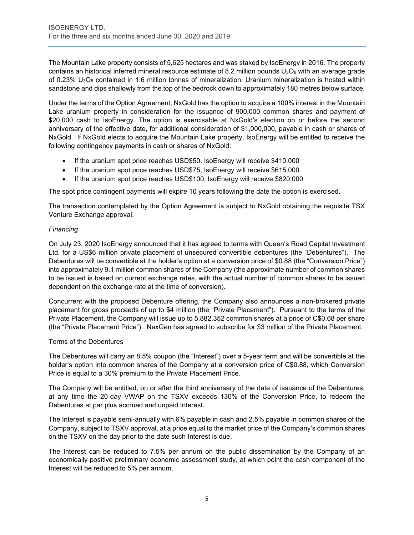The Mountain Lake property consists of 5,625 hectares and was staked by IsoEnergy in 2016. The property contains an historical inferred mineral resource estimate of 8.2 million pounds  $U_3O_8$  with an average grade of 0.23%  $U<sub>3</sub>O<sub>8</sub>$  contained in 1.6 million tonnes of mineralization. Uranium mineralization is hosted within sandstone and dips shallowly from the top of the bedrock down to approximately 180 metres below surface.

Under the terms of the Option Agreement, NxGold has the option to acquire a 100% interest in the Mountain Lake uranium property in consideration for the issuance of 900,000 common shares and payment of \$20,000 cash to IsoEnergy. The option is exercisable at NxGold's election on or before the second anniversary of the effective date, for additional consideration of \$1,000,000, payable in cash or shares of NxGold. If NxGold elects to acquire the Mountain Lake property, IsoEnergy will be entitled to receive the following contingency payments in cash or shares of NxGold:

- If the uranium spot price reaches USD\$50, IsoEnergy will receive \$410,000
- If the uranium spot price reaches USD\$75, IsoEnergy will receive \$615,000
- If the uranium spot price reaches USD\$100, IsoEnergy will receive \$820,000

The spot price contingent payments will expire 10 years following the date the option is exercised.

The transaction contemplated by the Option Agreement is subject to NxGold obtaining the requisite TSX Venture Exchange approval.

# *Financing*

On July 23, 2020 IsoEnergy announced that it has agreed to terms with Queen's Road Capital Investment Ltd. for a US\$6 million private placement of unsecured convertible debentures (the "Debentures"). The Debentures will be convertible at the holder's option at a conversion price of \$0.88 (the "Conversion Price") into approximately 9.1 million common shares of the Company (the approximate number of common shares to be issued is based on current exchange rates, with the actual number of common shares to be issued dependent on the exchange rate at the time of conversion).

Concurrent with the proposed Debenture offering, the Company also announces a non-brokered private placement for gross proceeds of up to \$4 million (the "Private Placement"). Pursuant to the terms of the Private Placement, the Company will issue up to 5,882,352 common shares at a price of C\$0.68 per share (the "Private Placement Price"). NexGen has agreed to subscribe for \$3 million of the Private Placement.

# Terms of the Debentures

The Debentures will carry an 8.5% coupon (the "Interest") over a 5-year term and will be convertible at the holder's option into common shares of the Company at a conversion price of C\$0.88, which Conversion Price is equal to a 30% premium to the Private Placement Price.

The Company will be entitled, on or after the third anniversary of the date of issuance of the Debentures, at any time the 20-day VWAP on the TSXV exceeds 130% of the Conversion Price, to redeem the Debentures at par plus accrued and unpaid Interest.

The Interest is payable semi-annually with 6% payable in cash and 2.5% payable in common shares of the Company, subject to TSXV approval, at a price equal to the market price of the Company's common shares on the TSXV on the day prior to the date such Interest is due.

The Interest can be reduced to 7.5% per annum on the public dissemination by the Company of an economically positive preliminary economic assessment study, at which point the cash component of the Interest will be reduced to 5% per annum.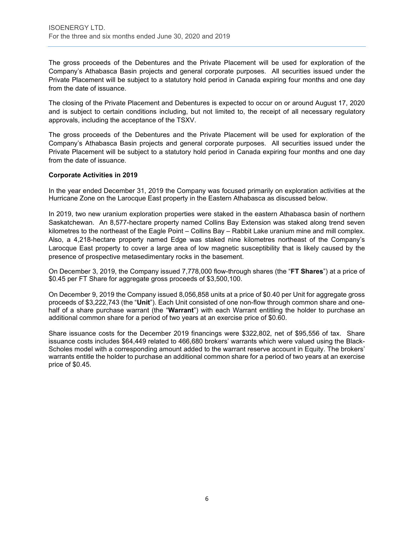The gross proceeds of the Debentures and the Private Placement will be used for exploration of the Company's Athabasca Basin projects and general corporate purposes. All securities issued under the Private Placement will be subject to a statutory hold period in Canada expiring four months and one day from the date of issuance.

The closing of the Private Placement and Debentures is expected to occur on or around August 17, 2020 and is subject to certain conditions including, but not limited to, the receipt of all necessary regulatory approvals, including the acceptance of the TSXV.

The gross proceeds of the Debentures and the Private Placement will be used for exploration of the Company's Athabasca Basin projects and general corporate purposes. All securities issued under the Private Placement will be subject to a statutory hold period in Canada expiring four months and one day from the date of issuance.

# **Corporate Activities in 2019**

In the year ended December 31, 2019 the Company was focused primarily on exploration activities at the Hurricane Zone on the Larocque East property in the Eastern Athabasca as discussed below.

In 2019, two new uranium exploration properties were staked in the eastern Athabasca basin of northern Saskatchewan. An 8,577-hectare property named Collins Bay Extension was staked along trend seven kilometres to the northeast of the Eagle Point – Collins Bay – Rabbit Lake uranium mine and mill complex. Also, a 4,218-hectare property named Edge was staked nine kilometres northeast of the Company's Larocque East property to cover a large area of low magnetic susceptibility that is likely caused by the presence of prospective metasedimentary rocks in the basement.

On December 3, 2019, the Company issued 7,778,000 flow-through shares (the "**FT Shares**") at a price of \$0.45 per FT Share for aggregate gross proceeds of \$3,500,100.

On December 9, 2019 the Company issued 8,056,858 units at a price of \$0.40 per Unit for aggregate gross proceeds of \$3,222,743 (the "**Unit**"). Each Unit consisted of one non-flow through common share and onehalf of a share purchase warrant (the "**Warrant**") with each Warrant entitling the holder to purchase an additional common share for a period of two years at an exercise price of \$0.60.

Share issuance costs for the December 2019 financings were \$322,802, net of \$95,556 of tax. Share issuance costs includes \$64,449 related to 466,680 brokers' warrants which were valued using the Black-Scholes model with a corresponding amount added to the warrant reserve account in Equity. The brokers' warrants entitle the holder to purchase an additional common share for a period of two years at an exercise price of \$0.45.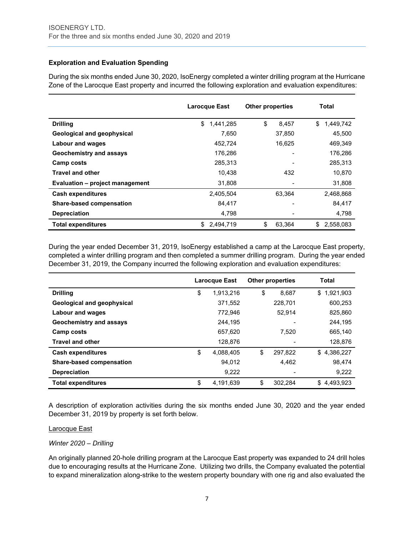# **Exploration and Evaluation Spending**

During the six months ended June 30, 2020, IsoEnergy completed a winter drilling program at the Hurricane Zone of the Larocque East property and incurred the following exploration and evaluation expenditures:

|                                 | Larocque East   | <b>Other properties</b> | Total           |
|---------------------------------|-----------------|-------------------------|-----------------|
| <b>Drilling</b>                 | \$<br>1,441,285 | \$<br>8,457             | \$<br>1,449,742 |
| Geological and geophysical      | 7.650           | 37.850                  | 45.500          |
| Labour and wages                | 452.724         | 16,625                  | 469,349         |
| Geochemistry and assays         | 176,286         |                         | 176,286         |
| Camp costs                      | 285,313         |                         | 285,313         |
| <b>Travel and other</b>         | 10.438          | 432                     | 10,870          |
| Evaluation - project management | 31,808          |                         | 31,808          |
| <b>Cash expenditures</b>        | 2,405,504       | 63.364                  | 2,468,868       |
| <b>Share-based compensation</b> | 84.417          |                         | 84,417          |
| <b>Depreciation</b>             | 4,798           |                         | 4,798           |
| <b>Total expenditures</b>       | \$<br>2,494,719 | \$<br>63,364            | \$<br>2,558,083 |

During the year ended December 31, 2019, IsoEnergy established a camp at the Larocque East property, completed a winter drilling program and then completed a summer drilling program. During the year ended December 31, 2019, the Company incurred the following exploration and evaluation expenditures:

|                                 | Larocque East   |    | <b>Other properties</b> | <b>Total</b>    |
|---------------------------------|-----------------|----|-------------------------|-----------------|
| <b>Drilling</b>                 | \$<br>1,913,216 | \$ | 8.687                   | 1,921,903<br>\$ |
| Geological and geophysical      | 371,552         |    | 228.701                 | 600,253         |
| <b>Labour and wages</b>         | 772.946         |    | 52.914                  | 825,860         |
| Geochemistry and assays         | 244,195         |    |                         | 244,195         |
| <b>Camp costs</b>               | 657,620         |    | 7.520                   | 665,140         |
| <b>Travel and other</b>         | 128,876         |    |                         | 128,876         |
| <b>Cash expenditures</b>        | \$<br>4.088.405 | \$ | 297.822                 | \$4,386,227     |
| <b>Share-based compensation</b> | 94,012          |    | 4,462                   | 98,474          |
| <b>Depreciation</b>             | 9,222           |    |                         | 9,222           |
| <b>Total expenditures</b>       | \$<br>4,191,639 | \$ | 302,284                 | \$4.493.923     |

A description of exploration activities during the six months ended June 30, 2020 and the year ended December 31, 2019 by property is set forth below.

#### Larocque East

# *Winter 2020 – Drilling*

An originally planned 20-hole drilling program at the Larocque East property was expanded to 24 drill holes due to encouraging results at the Hurricane Zone. Utilizing two drills, the Company evaluated the potential to expand mineralization along-strike to the western property boundary with one rig and also evaluated the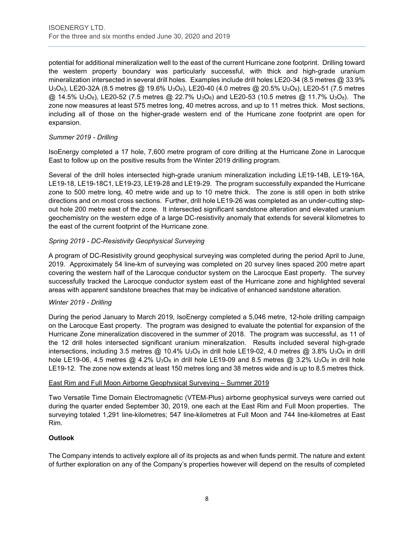potential for additional mineralization well to the east of the current Hurricane zone footprint. Drilling toward the western property boundary was particularly successful, with thick and high-grade uranium mineralization intersected in several drill holes. Examples include drill holes LE20-34 (8.5 metres @ 33.9% U3O8), LE20-32A (8.5 metres @ 19.6% U3O8), LE20-40 (4.0 metres @ 20.5% U3O8), LE20-51 (7.5 metres  $@$  14.5% U<sub>3</sub>O<sub>8</sub>), LE20-52 (7.5 metres  $@$  22.7% U<sub>3</sub>O<sub>8</sub>) and LE20-53 (10.5 metres  $@$  11.7% U<sub>3</sub>O<sub>8</sub>). The zone now measures at least 575 metres long, 40 metres across, and up to 11 metres thick. Most sections, including all of those on the higher-grade western end of the Hurricane zone footprint are open for expansion.

# *Summer 2019 - Drilling*

IsoEnergy completed a 17 hole, 7,600 metre program of core drilling at the Hurricane Zone in Larocque East to follow up on the positive results from the Winter 2019 drilling program.

Several of the drill holes intersected high-grade uranium mineralization including LE19-14B, LE19-16A, LE19-18, LE19-18C1, LE19-23, LE19-28 and LE19-29. The program successfully expanded the Hurricane zone to 500 metre long, 40 metre wide and up to 10 metre thick. The zone is still open in both strike directions and on most cross sections. Further, drill hole LE19-26 was completed as an under-cutting stepout hole 200 metre east of the zone. It intersected significant sandstone alteration and elevated uranium geochemistry on the western edge of a large DC-resistivity anomaly that extends for several kilometres to the east of the current footprint of the Hurricane zone.

# *Spring 2019 - DC-Resistivity Geophysical Surveying*

A program of DC-Resistivity ground geophysical surveying was completed during the period April to June, 2019. Approximately 54 line-km of surveying was completed on 20 survey lines spaced 200 metre apart covering the western half of the Larocque conductor system on the Larocque East property. The survey successfully tracked the Larocque conductor system east of the Hurricane zone and highlighted several areas with apparent sandstone breaches that may be indicative of enhanced sandstone alteration.

# *Winter 2019 - Drilling*

During the period January to March 2019, IsoEnergy completed a 5,046 metre, 12-hole drilling campaign on the Larocque East property. The program was designed to evaluate the potential for expansion of the Hurricane Zone mineralization discovered in the summer of 2018. The program was successful, as 11 of the 12 drill holes intersected significant uranium mineralization. Results included several high-grade intersections, including 3.5 metres  $\omega$  10.4% U<sub>3</sub>O<sub>8</sub> in drill hole LE19-02, 4.0 metres  $\omega$  3.8% U<sub>3</sub>O<sub>8</sub> in drill hole LE19-06, 4.5 metres  $@$  4.2% U<sub>3</sub>O<sub>8</sub> in drill hole LE19-09 and 8.5 metres  $@$  3.2% U<sub>3</sub>O<sub>8</sub> in drill hole LE19-12. The zone now extends at least 150 metres long and 38 metres wide and is up to 8.5 metres thick.

# East Rim and Full Moon Airborne Geophysical Surveying – Summer 2019

Two Versatile Time Domain Electromagnetic (VTEM-Plus) airborne geophysical surveys were carried out during the quarter ended September 30, 2019, one each at the East Rim and Full Moon properties. The surveying totaled 1,291 line-kilometres; 547 line-kilometres at Full Moon and 744 line-kilometres at East Rim.

# **Outlook**

The Company intends to actively explore all of its projects as and when funds permit. The nature and extent of further exploration on any of the Company's properties however will depend on the results of completed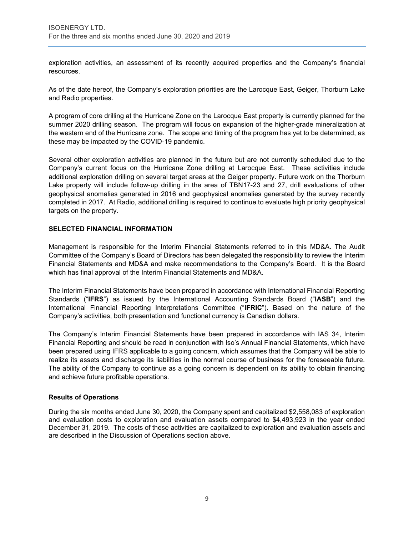exploration activities, an assessment of its recently acquired properties and the Company's financial resources.

As of the date hereof, the Company's exploration priorities are the Larocque East, Geiger, Thorburn Lake and Radio properties.

A program of core drilling at the Hurricane Zone on the Larocque East property is currently planned for the summer 2020 drilling season. The program will focus on expansion of the higher-grade mineralization at the western end of the Hurricane zone. The scope and timing of the program has yet to be determined, as these may be impacted by the COVID-19 pandemic.

Several other exploration activities are planned in the future but are not currently scheduled due to the Company's current focus on the Hurricane Zone drilling at Larocque East. These activities include additional exploration drilling on several target areas at the Geiger property. Future work on the Thorburn Lake property will include follow-up drilling in the area of TBN17-23 and 27, drill evaluations of other geophysical anomalies generated in 2016 and geophysical anomalies generated by the survey recently completed in 2017. At Radio, additional drilling is required to continue to evaluate high priority geophysical targets on the property.

# **SELECTED FINANCIAL INFORMATION**

Management is responsible for the Interim Financial Statements referred to in this MD&A. The Audit Committee of the Company's Board of Directors has been delegated the responsibility to review the Interim Financial Statements and MD&A and make recommendations to the Company's Board. It is the Board which has final approval of the Interim Financial Statements and MD&A.

The Interim Financial Statements have been prepared in accordance with International Financial Reporting Standards ("**IFRS**") as issued by the International Accounting Standards Board ("**IASB**") and the International Financial Reporting Interpretations Committee ("**IFRIC**"). Based on the nature of the Company's activities, both presentation and functional currency is Canadian dollars.

The Company's Interim Financial Statements have been prepared in accordance with IAS 34, Interim Financial Reporting and should be read in conjunction with Iso's Annual Financial Statements, which have been prepared using IFRS applicable to a going concern, which assumes that the Company will be able to realize its assets and discharge its liabilities in the normal course of business for the foreseeable future. The ability of the Company to continue as a going concern is dependent on its ability to obtain financing and achieve future profitable operations.

#### **Results of Operations**

During the six months ended June 30, 2020, the Company spent and capitalized \$2,558,083 of exploration and evaluation costs to exploration and evaluation assets compared to \$4,493,923 in the year ended December 31, 2019. The costs of these activities are capitalized to exploration and evaluation assets and are described in the Discussion of Operations section above.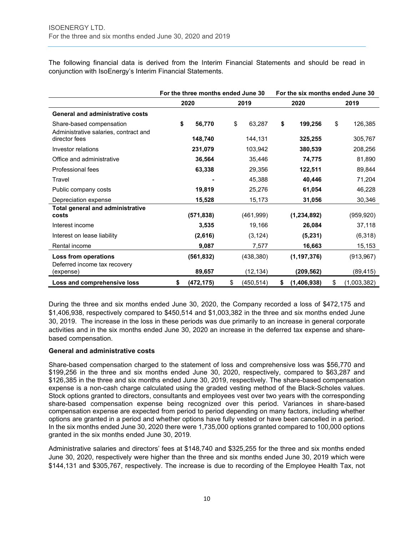The following financial data is derived from the Interim Financial Statements and should be read in conjunction with IsoEnergy's Interim Financial Statements.

|                                                        | For the three months ended June 30 |                  | For the six months ended June 30 |                   |  |  |
|--------------------------------------------------------|------------------------------------|------------------|----------------------------------|-------------------|--|--|
|                                                        | 2020                               | 2019             | 2020                             | 2019              |  |  |
| <b>General and administrative costs</b>                |                                    |                  |                                  |                   |  |  |
| Share-based compensation                               | \$<br>56,770                       | \$<br>63,287     | \$<br>199,256                    | \$<br>126,385     |  |  |
| Administrative salaries, contract and<br>director fees | 148,740                            | 144,131          | 325,255                          | 305,767           |  |  |
| Investor relations                                     | 231,079                            | 103,942          | 380,539                          | 208,256           |  |  |
| Office and administrative                              | 36,564                             | 35,446           | 74,775                           | 81,890            |  |  |
| Professional fees                                      | 63,338                             | 29,356           | 122,511                          | 89,844            |  |  |
| Travel                                                 |                                    | 45,388           | 40,446                           | 71,204            |  |  |
| Public company costs                                   | 19,819                             | 25,276           | 61,054                           | 46,228            |  |  |
| Depreciation expense                                   | 15,528                             | 15,173           | 31,056                           | 30,346            |  |  |
| <b>Total general and administrative</b><br>costs       | (571, 838)                         | (461,999)        | (1, 234, 892)                    | (959, 920)        |  |  |
| Interest income                                        | 3,535                              | 19,166           | 26,084                           | 37,118            |  |  |
| Interest on lease liability                            | (2,616)                            | (3, 124)         | (5, 231)                         | (6,318)           |  |  |
| Rental income                                          | 9,087                              | 7,577            | 16,663                           | 15,153            |  |  |
| Loss from operations                                   | (561, 832)                         | (438, 380)       | (1, 197, 376)                    | (913, 967)        |  |  |
| Deferred income tax recovery<br>(expense)              | 89,657                             | (12, 134)        | (209, 562)                       | (89, 415)         |  |  |
| Loss and comprehensive loss                            | \$<br>(472, 175)                   | \$<br>(450, 514) | \$<br>(1,406,938)                | \$<br>(1,003,382) |  |  |

During the three and six months ended June 30, 2020, the Company recorded a loss of \$472,175 and \$1,406,938, respectively compared to \$450,514 and \$1,003,382 in the three and six months ended June 30, 2019. The increase in the loss in these periods was due primarily to an increase in general corporate activities and in the six months ended June 30, 2020 an increase in the deferred tax expense and sharebased compensation.

# **General and administrative costs**

Share-based compensation charged to the statement of loss and comprehensive loss was \$56,770 and \$199,256 in the three and six months ended June 30, 2020, respectively, compared to \$63,287 and \$126,385 in the three and six months ended June 30, 2019, respectively. The share-based compensation expense is a non-cash charge calculated using the graded vesting method of the Black-Scholes values. Stock options granted to directors, consultants and employees vest over two years with the corresponding share-based compensation expense being recognized over this period. Variances in share-based compensation expense are expected from period to period depending on many factors, including whether options are granted in a period and whether options have fully vested or have been cancelled in a period. In the six months ended June 30, 2020 there were 1,735,000 options granted compared to 100,000 options granted in the six months ended June 30, 2019.

Administrative salaries and directors' fees at \$148,740 and \$325,255 for the three and six months ended June 30, 2020, respectively were higher than the three and six months ended June 30, 2019 which were \$144,131 and \$305,767, respectively. The increase is due to recording of the Employee Health Tax, not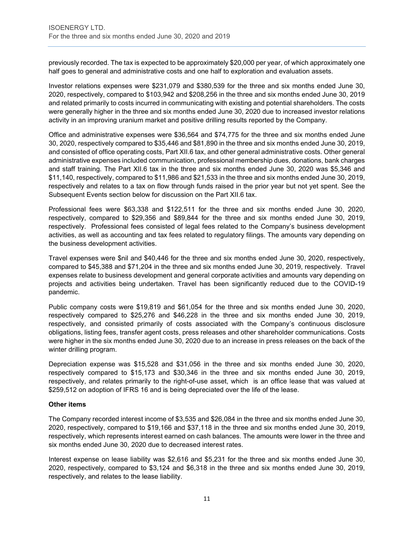previously recorded. The tax is expected to be approximately \$20,000 per year, of which approximately one half goes to general and administrative costs and one half to exploration and evaluation assets.

Investor relations expenses were \$231,079 and \$380,539 for the three and six months ended June 30, 2020, respectively, compared to \$103,942 and \$208,256 in the three and six months ended June 30, 2019 and related primarily to costs incurred in communicating with existing and potential shareholders. The costs were generally higher in the three and six months ended June 30, 2020 due to increased investor relations activity in an improving uranium market and positive drilling results reported by the Company.

Office and administrative expenses were \$36,564 and \$74,775 for the three and six months ended June 30, 2020, respectively compared to \$35,446 and \$81,890 in the three and six months ended June 30, 2019, and consisted of office operating costs, Part XII.6 tax, and other general administrative costs. Other general administrative expenses included communication, professional membership dues, donations, bank charges and staff training. The Part XII.6 tax in the three and six months ended June 30, 2020 was \$5,346 and \$11,140, respectively, compared to \$11,986 and \$21,533 in the three and six months ended June 30, 2019, respectively and relates to a tax on flow through funds raised in the prior year but not yet spent. See the Subsequent Events section below for discussion on the Part XII.6 tax.

Professional fees were \$63,338 and \$122,511 for the three and six months ended June 30, 2020, respectively, compared to \$29,356 and \$89,844 for the three and six months ended June 30, 2019, respectively. Professional fees consisted of legal fees related to the Company's business development activities, as well as accounting and tax fees related to regulatory filings. The amounts vary depending on the business development activities.

Travel expenses were \$nil and \$40,446 for the three and six months ended June 30, 2020, respectively, compared to \$45,388 and \$71,204 in the three and six months ended June 30, 2019, respectively. Travel expenses relate to business development and general corporate activities and amounts vary depending on projects and activities being undertaken. Travel has been significantly reduced due to the COVID-19 pandemic.

Public company costs were \$19,819 and \$61,054 for the three and six months ended June 30, 2020, respectively compared to \$25,276 and \$46,228 in the three and six months ended June 30, 2019, respectively, and consisted primarily of costs associated with the Company's continuous disclosure obligations, listing fees, transfer agent costs, press releases and other shareholder communications. Costs were higher in the six months ended June 30, 2020 due to an increase in press releases on the back of the winter drilling program.

Depreciation expense was \$15,528 and \$31,056 in the three and six months ended June 30, 2020, respectively compared to \$15,173 and \$30,346 in the three and six months ended June 30, 2019, respectively, and relates primarily to the right-of-use asset, which is an office lease that was valued at \$259,512 on adoption of IFRS 16 and is being depreciated over the life of the lease.

# **Other items**

The Company recorded interest income of \$3,535 and \$26,084 in the three and six months ended June 30, 2020, respectively, compared to \$19,166 and \$37,118 in the three and six months ended June 30, 2019, respectively, which represents interest earned on cash balances. The amounts were lower in the three and six months ended June 30, 2020 due to decreased interest rates.

Interest expense on lease liability was \$2,616 and \$5,231 for the three and six months ended June 30, 2020, respectively, compared to \$3,124 and \$6,318 in the three and six months ended June 30, 2019, respectively, and relates to the lease liability.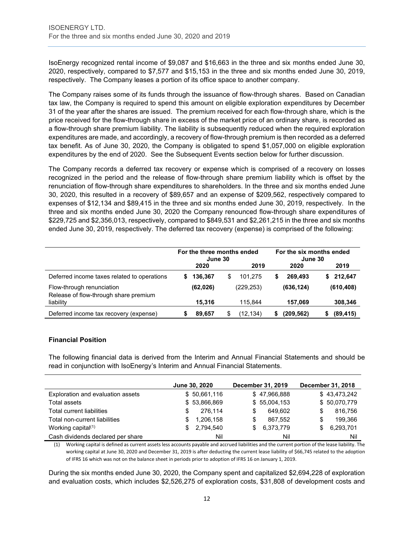IsoEnergy recognized rental income of \$9,087 and \$16,663 in the three and six months ended June 30, 2020, respectively, compared to \$7,577 and \$15,153 in the three and six months ended June 30, 2019, respectively. The Company leases a portion of its office space to another company.

The Company raises some of its funds through the issuance of flow-through shares. Based on Canadian tax law, the Company is required to spend this amount on eligible exploration expenditures by December 31 of the year after the shares are issued. The premium received for each flow-through share, which is the price received for the flow-through share in excess of the market price of an ordinary share, is recorded as a flow-through share premium liability. The liability is subsequently reduced when the required exploration expenditures are made, and accordingly, a recovery of flow-through premium is then recorded as a deferred tax benefit. As of June 30, 2020, the Company is obligated to spend \$1,057,000 on eligible exploration expenditures by the end of 2020. See the Subsequent Events section below for further discussion.

The Company records a deferred tax recovery or expense which is comprised of a recovery on losses recognized in the period and the release of flow-through share premium liability which is offset by the renunciation of flow-through share expenditures to shareholders. In the three and six months ended June 30, 2020, this resulted in a recovery of \$89,657 and an expense of \$209,562, respectively compared to expenses of \$12,134 and \$89,415 in the three and six months ended June 30, 2019, respectively. In the three and six months ended June 30, 2020 the Company renounced flow-through share expenditures of \$229,725 and \$2,356,013, respectively, compared to \$849,531 and \$2,261,215 in the three and six months ended June 30, 2019, respectively. The deferred tax recovery (expense) is comprised of the following:

|                                                                    |   | For the three months ended<br>June 30 |               |   | For the six months ended<br>June 30 |   |            |
|--------------------------------------------------------------------|---|---------------------------------------|---------------|---|-------------------------------------|---|------------|
|                                                                    |   | 2020                                  | 2019          |   | 2020                                |   | 2019       |
| Deferred income taxes related to operations                        | S | 136.367                               | \$<br>101.275 | S | 269,493                             | S | 212.647    |
| Flow-through renunciation<br>Release of flow-through share premium |   | (62, 026)                             | (229,253)     |   | (636, 124)                          |   | (610, 408) |
| liability                                                          |   | 15.316                                | 115.844       |   | 157.069                             |   | 308,346    |
| Deferred income tax recovery (expense)                             |   | 89.657                                | (12,134)      |   | (209,562)                           |   | (89, 415)  |

# **Financial Position**

The following financial data is derived from the Interim and Annual Financial Statements and should be read in conjunction with IsoEnergy's Interim and Annual Financial Statements.

|                                   | June 30, 2020   | December 31, 2019 | <b>December 31, 2018</b> |
|-----------------------------------|-----------------|-------------------|--------------------------|
| Exploration and evaluation assets | \$50,661,116    | \$47,966,888      | \$43,473,242             |
| Total assets                      | \$53,866,869    | \$55,004,153      | \$50,070,779             |
| Total current liabilities         | 276.114<br>S    | 649,602<br>S      | 816,756                  |
| Total non-current liabilities     | 1,206,158       | 867.552<br>S      | 199,366                  |
| Working capital <sup>(1)</sup>    | 2,794,540<br>\$ | 6,373,779<br>\$.  | 6,293,701                |
| Cash dividends declared per share | Nil             | Nil               | Nil                      |

(1) Working capital is defined as current assets less accounts payable and accrued liabilities and the current portion of the lease liability. The working capital at June 30, 2020 and December 31, 2019 is after deducting the current lease liability of \$66,745 related to the adoption of IFRS 16 which was not on the balance sheet in periods prior to adoption of IFRS 16 on January 1, 2019.

During the six months ended June 30, 2020, the Company spent and capitalized \$2,694,228 of exploration and evaluation costs, which includes \$2,526,275 of exploration costs, \$31,808 of development costs and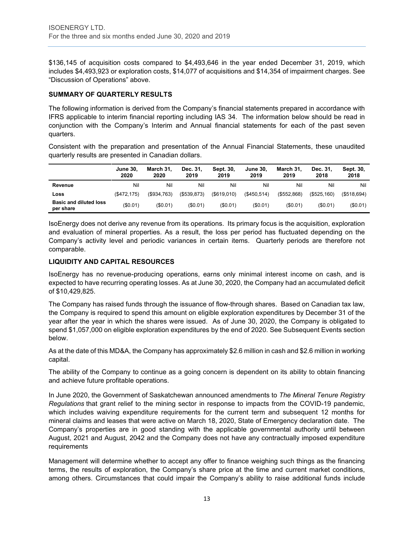\$136,145 of acquisition costs compared to \$4,493,646 in the year ended December 31, 2019, which includes \$4,493,923 or exploration costs, \$14,077 of acquisitions and \$14,354 of impairment charges. See "Discussion of Operations" above.

# **SUMMARY OF QUARTERLY RESULTS**

The following information is derived from the Company's financial statements prepared in accordance with IFRS applicable to interim financial reporting including IAS 34. The information below should be read in conjunction with the Company's Interim and Annual financial statements for each of the past seven quarters.

Consistent with the preparation and presentation of the Annual Financial Statements, these unaudited quarterly results are presented in Canadian dollars.

|                                            | June 30,<br>2020 | March 31.<br>2020 | Dec. 31,<br>2019 | Sept. 30.<br>2019 | <b>June 30.</b><br>2019 | March 31.<br>2019 | Dec. 31.<br>2018 | Sept. 30,<br>2018 |
|--------------------------------------------|------------------|-------------------|------------------|-------------------|-------------------------|-------------------|------------------|-------------------|
| Revenue                                    | Nil              | Nil               | Nil              | Nil               | Nil                     | Nil               | Nil              | Nil               |
| Loss                                       | (S472.175)       | $($ \$934.763)    | (S539.873)       | $($ \$619.010)    | $($ \$450.514 $)$       | $($ \$552.868)    | (S525.160)       | (S518.694)        |
| <b>Basic and diluted loss</b><br>per share | (\$0.01)         | $(\$0.01)$        | $(\$0.01)$       | (S0.01)           | (\$0.01)                | (S0.01)           | (\$0.01)         | (\$0.01)          |

IsoEnergy does not derive any revenue from its operations. Its primary focus is the acquisition, exploration and evaluation of mineral properties. As a result, the loss per period has fluctuated depending on the Company's activity level and periodic variances in certain items. Quarterly periods are therefore not comparable.

# **LIQUIDITY AND CAPITAL RESOURCES**

IsoEnergy has no revenue-producing operations, earns only minimal interest income on cash, and is expected to have recurring operating losses. As at June 30, 2020, the Company had an accumulated deficit of \$10,429,825.

The Company has raised funds through the issuance of flow-through shares. Based on Canadian tax law, the Company is required to spend this amount on eligible exploration expenditures by December 31 of the year after the year in which the shares were issued. As of June 30, 2020, the Company is obligated to spend \$1,057,000 on eligible exploration expenditures by the end of 2020. See Subsequent Events section below.

As at the date of this MD&A, the Company has approximately \$2.6 million in cash and \$2.6 million in working capital.

The ability of the Company to continue as a going concern is dependent on its ability to obtain financing and achieve future profitable operations.

In June 2020, the Government of Saskatchewan announced amendments to *The Mineral Tenure Registry Regulations* that grant relief to the mining sector in response to impacts from the COVID-19 pandemic, which includes waiving expenditure requirements for the current term and subsequent 12 months for mineral claims and leases that were active on March 18, 2020, State of Emergency declaration date. The Company's properties are in good standing with the applicable governmental authority until between August, 2021 and August, 2042 and the Company does not have any contractually imposed expenditure requirements

Management will determine whether to accept any offer to finance weighing such things as the financing terms, the results of exploration, the Company's share price at the time and current market conditions, among others. Circumstances that could impair the Company's ability to raise additional funds include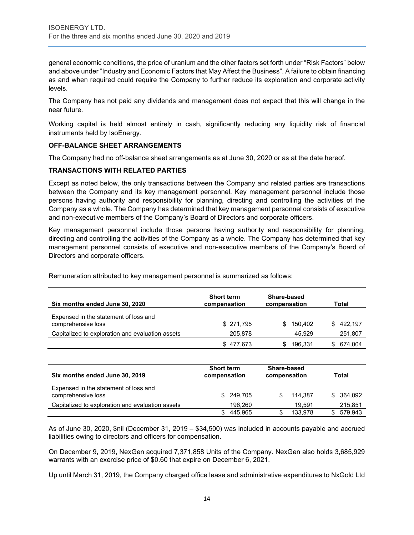general economic conditions, the price of uranium and the other factors set forth under "Risk Factors" below and above under "Industry and Economic Factors that May Affect the Business". A failure to obtain financing as and when required could require the Company to further reduce its exploration and corporate activity levels.

The Company has not paid any dividends and management does not expect that this will change in the near future.

Working capital is held almost entirely in cash, significantly reducing any liquidity risk of financial instruments held by IsoEnergy.

# **OFF-BALANCE SHEET ARRANGEMENTS**

The Company had no off-balance sheet arrangements as at June 30, 2020 or as at the date hereof.

# **TRANSACTIONS WITH RELATED PARTIES**

Except as noted below, the only transactions between the Company and related parties are transactions between the Company and its key management personnel. Key management personnel include those persons having authority and responsibility for planning, directing and controlling the activities of the Company as a whole. The Company has determined that key management personnel consists of executive and non-executive members of the Company's Board of Directors and corporate officers.

Key management personnel include those persons having authority and responsibility for planning, directing and controlling the activities of the Company as a whole. The Company has determined that key management personnel consists of executive and non-executive members of the Company's Board of Directors and corporate officers.

| Six months ended June 30, 2020                              | <b>Short term</b><br>compensation | Share-based<br>compensation | Total         |
|-------------------------------------------------------------|-----------------------------------|-----------------------------|---------------|
| Expensed in the statement of loss and<br>comprehensive loss | \$271,795                         | 150.402<br>S.               | 422.197<br>S. |
| Capitalized to exploration and evaluation assets            | 205,878                           | 45.929                      | 251,807       |
|                                                             | \$477.673                         | 196.331                     | 674.004       |

Remuneration attributed to key management personnel is summarized as follows:

| Six months ended June 30, 2019                              | <b>Short term</b><br>compensation | Share-based<br>compensation | Total          |
|-------------------------------------------------------------|-----------------------------------|-----------------------------|----------------|
| Expensed in the statement of loss and<br>comprehensive loss | \$ 249.705                        | 114.387                     | 364.092<br>SS. |
| Capitalized to exploration and evaluation assets            | 196.260                           | 19.591                      | 215,851        |
|                                                             | 445.965                           | 133.978                     | 579,943        |

As of June 30, 2020, \$nil (December 31, 2019 – \$34,500) was included in accounts payable and accrued liabilities owing to directors and officers for compensation.

On December 9, 2019, NexGen acquired 7,371,858 Units of the Company. NexGen also holds 3,685,929 warrants with an exercise price of \$0.60 that expire on December 6, 2021.

Up until March 31, 2019, the Company charged office lease and administrative expenditures to NxGold Ltd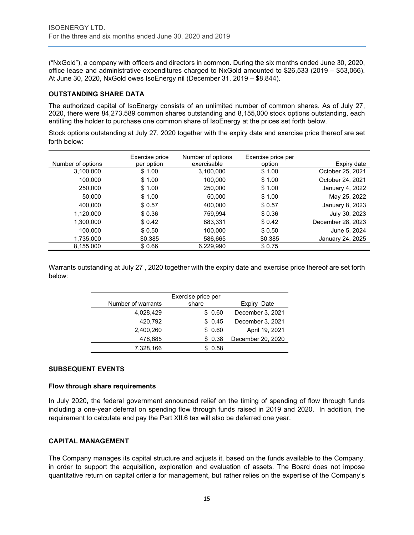("NxGold"), a company with officers and directors in common. During the six months ended June 30, 2020, office lease and administrative expenditures charged to NxGold amounted to \$26,533 (2019 – \$53,066). At June 30, 2020, NxGold owes IsoEnergy nil (December 31, 2019 – \$8,844).

# **OUTSTANDING SHARE DATA**

The authorized capital of IsoEnergy consists of an unlimited number of common shares. As of July 27, 2020, there were 84,273,589 common shares outstanding and 8,155,000 stock options outstanding, each entitling the holder to purchase one common share of IsoEnergy at the prices set forth below.

Stock options outstanding at July 27, 2020 together with the expiry date and exercise price thereof are set forth below:

|                   | Exercise price | Number of options<br>exercisable | Exercise price per |                   |
|-------------------|----------------|----------------------------------|--------------------|-------------------|
| Number of options | per option     |                                  | option             | Expiry date       |
| 3,100,000         | \$1.00         | 3,100,000                        | \$1.00             | October 25, 2021  |
| 100,000           | \$1.00         | 100,000                          | \$1.00             | October 24, 2021  |
| 250,000           | \$1.00         | 250,000                          | \$1.00             | January 4, 2022   |
| 50,000            | \$1.00         | 50.000                           | \$1.00             | May 25, 2022      |
| 400.000           | \$0.57         | 400,000                          | \$0.57             | January 8, 2023   |
| 1,120,000         | \$0.36         | 759.994                          | \$0.36             | July 30, 2023     |
| 1,300,000         | \$0.42         | 883,331                          | \$0.42             | December 28, 2023 |
| 100.000           | \$0.50         | 100.000                          | \$0.50             | June 5, 2024      |
| 1,735,000         | \$0.385        | 586,665                          | \$0.385            | January 24, 2025  |
| 8,155,000         | \$0.66         | 6,229,990                        | \$0.75             |                   |

Warrants outstanding at July 27 , 2020 together with the expiry date and exercise price thereof are set forth below:

|                    | Exercise price per |                   |
|--------------------|--------------------|-------------------|
| Number of warrants | share              | Expiry<br>Date    |
| 4,028,429          | \$0.60             | December 3, 2021  |
| 420,792            | \$0.45             | December 3, 2021  |
| 2,400,260          | \$0.60             | April 19, 2021    |
| 478,685            | \$0.38             | December 20, 2020 |
| 7,328,166          | 0.58               |                   |

#### **SUBSEQUENT EVENTS**

#### **Flow through share requirements**

In July 2020, the federal government announced relief on the timing of spending of flow through funds including a one-year deferral on spending flow through funds raised in 2019 and 2020. In addition, the requirement to calculate and pay the Part XII.6 tax will also be deferred one year.

#### **CAPITAL MANAGEMENT**

The Company manages its capital structure and adjusts it, based on the funds available to the Company, in order to support the acquisition, exploration and evaluation of assets. The Board does not impose quantitative return on capital criteria for management, but rather relies on the expertise of the Company's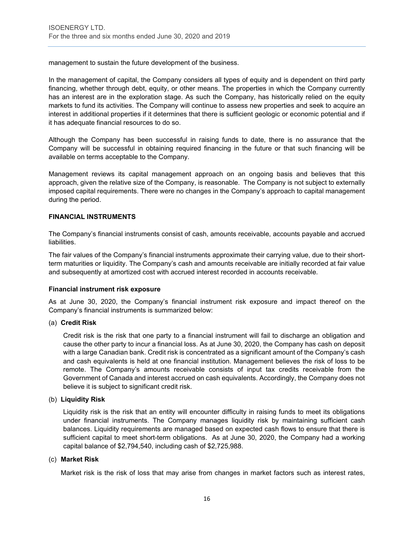management to sustain the future development of the business.

In the management of capital, the Company considers all types of equity and is dependent on third party financing, whether through debt, equity, or other means. The properties in which the Company currently has an interest are in the exploration stage. As such the Company, has historically relied on the equity markets to fund its activities. The Company will continue to assess new properties and seek to acquire an interest in additional properties if it determines that there is sufficient geologic or economic potential and if it has adequate financial resources to do so.

Although the Company has been successful in raising funds to date, there is no assurance that the Company will be successful in obtaining required financing in the future or that such financing will be available on terms acceptable to the Company.

Management reviews its capital management approach on an ongoing basis and believes that this approach, given the relative size of the Company, is reasonable. The Company is not subject to externally imposed capital requirements. There were no changes in the Company's approach to capital management during the period.

# **FINANCIAL INSTRUMENTS**

The Company's financial instruments consist of cash, amounts receivable, accounts payable and accrued liabilities.

The fair values of the Company's financial instruments approximate their carrying value, due to their shortterm maturities or liquidity. The Company's cash and amounts receivable are initially recorded at fair value and subsequently at amortized cost with accrued interest recorded in accounts receivable.

#### **Financial instrument risk exposure**

As at June 30, 2020, the Company's financial instrument risk exposure and impact thereof on the Company's financial instruments is summarized below:

#### (a) **Credit Risk**

Credit risk is the risk that one party to a financial instrument will fail to discharge an obligation and cause the other party to incur a financial loss. As at June 30, 2020, the Company has cash on deposit with a large Canadian bank. Credit risk is concentrated as a significant amount of the Company's cash and cash equivalents is held at one financial institution. Management believes the risk of loss to be remote. The Company's amounts receivable consists of input tax credits receivable from the Government of Canada and interest accrued on cash equivalents. Accordingly, the Company does not believe it is subject to significant credit risk.

#### (b) **Liquidity Risk**

Liquidity risk is the risk that an entity will encounter difficulty in raising funds to meet its obligations under financial instruments. The Company manages liquidity risk by maintaining sufficient cash balances. Liquidity requirements are managed based on expected cash flows to ensure that there is sufficient capital to meet short-term obligations. As at June 30, 2020, the Company had a working capital balance of \$2,794,540, including cash of \$2,725,988.

#### (c) **Market Risk**

Market risk is the risk of loss that may arise from changes in market factors such as interest rates,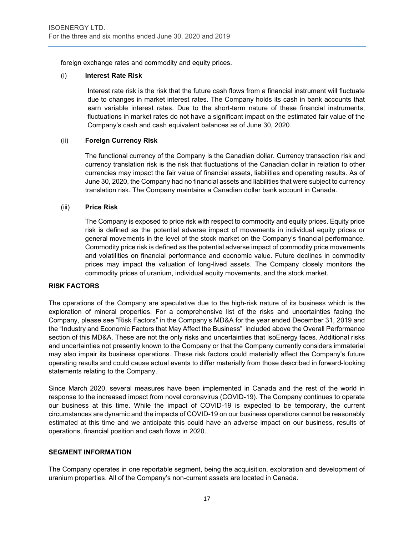foreign exchange rates and commodity and equity prices.

#### (i) **Interest Rate Risk**

Interest rate risk is the risk that the future cash flows from a financial instrument will fluctuate due to changes in market interest rates. The Company holds its cash in bank accounts that earn variable interest rates. Due to the short-term nature of these financial instruments, fluctuations in market rates do not have a significant impact on the estimated fair value of the Company's cash and cash equivalent balances as of June 30, 2020.

# (ii) **Foreign Currency Risk**

The functional currency of the Company is the Canadian dollar. Currency transaction risk and currency translation risk is the risk that fluctuations of the Canadian dollar in relation to other currencies may impact the fair value of financial assets, liabilities and operating results. As of June 30, 2020, the Company had no financial assets and liabilities that were subject to currency translation risk. The Company maintains a Canadian dollar bank account in Canada.

#### (iii) **Price Risk**

The Company is exposed to price risk with respect to commodity and equity prices. Equity price risk is defined as the potential adverse impact of movements in individual equity prices or general movements in the level of the stock market on the Company's financial performance. Commodity price risk is defined as the potential adverse impact of commodity price movements and volatilities on financial performance and economic value. Future declines in commodity prices may impact the valuation of long-lived assets. The Company closely monitors the commodity prices of uranium, individual equity movements, and the stock market.

# **RISK FACTORS**

The operations of the Company are speculative due to the high-risk nature of its business which is the exploration of mineral properties. For a comprehensive list of the risks and uncertainties facing the Company, please see "Risk Factors" in the Company's MD&A for the year ended December 31, 2019 and the "Industry and Economic Factors that May Affect the Business" included above the Overall Performance section of this MD&A. These are not the only risks and uncertainties that IsoEnergy faces. Additional risks and uncertainties not presently known to the Company or that the Company currently considers immaterial may also impair its business operations. These risk factors could materially affect the Company's future operating results and could cause actual events to differ materially from those described in forward-looking statements relating to the Company.

Since March 2020, several measures have been implemented in Canada and the rest of the world in response to the increased impact from novel coronavirus (COVID-19). The Company continues to operate our business at this time. While the impact of COVID-19 is expected to be temporary, the current circumstances are dynamic and the impacts of COVID-19 on our business operations cannot be reasonably estimated at this time and we anticipate this could have an adverse impact on our business, results of operations, financial position and cash flows in 2020.

#### **SEGMENT INFORMATION**

The Company operates in one reportable segment, being the acquisition, exploration and development of uranium properties. All of the Company's non-current assets are located in Canada.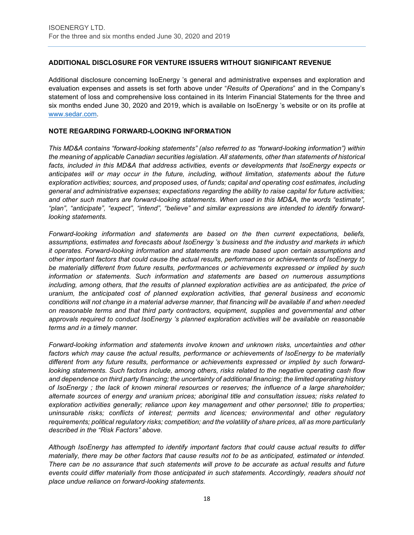# **ADDITIONAL DISCLOSURE FOR VENTURE ISSUERS WITHOUT SIGNIFICANT REVENUE**

Additional disclosure concerning IsoEnergy 's general and administrative expenses and exploration and evaluation expenses and assets is set forth above under "*Results of Operations*" and in the Company's statement of loss and comprehensive loss contained in its Interim Financial Statements for the three and six months ended June 30, 2020 and 2019, which is available on IsoEnergy 's website or on its profile at [www.sedar.com.](http://www.sedar.com/)

# **NOTE REGARDING FORWARD-LOOKING INFORMATION**

*This MD&A contains "forward-looking statements" (also referred to as "forward-looking information") within the meaning of applicable Canadian securities legislation. All statements, other than statements of historical facts, included in this MD&A that address activities, events or developments that IsoEnergy expects or anticipates will or may occur in the future, including, without limitation, statements about the future exploration activities; sources, and proposed uses, of funds; capital and operating cost estimates, including general and administrative expenses; expectations regarding the ability to raise capital for future activities; and other such matters are forward-looking statements. When used in this MD&A, the words "estimate", "plan", "anticipate", "expect", "intend", "believe" and similar expressions are intended to identify forwardlooking statements.* 

*Forward-looking information and statements are based on the then current expectations, beliefs, assumptions, estimates and forecasts about IsoEnergy 's business and the industry and markets in which it operates. Forward-looking information and statements are made based upon certain assumptions and other important factors that could cause the actual results, performances or achievements of IsoEnergy to be materially different from future results, performances or achievements expressed or implied by such information or statements. Such information and statements are based on numerous assumptions including, among others, that the results of planned exploration activities are as anticipated, the price of uranium, the anticipated cost of planned exploration activities, that general business and economic conditions will not change in a material adverse manner, that financing will be available if and when needed on reasonable terms and that third party contractors, equipment, supplies and governmental and other approvals required to conduct IsoEnergy 's planned exploration activities will be available on reasonable terms and in a timely manner.* 

*Forward-looking information and statements involve known and unknown risks, uncertainties and other factors which may cause the actual results, performance or achievements of IsoEnergy to be materially different from any future results, performance or achievements expressed or implied by such forwardlooking statements. Such factors include, among others, risks related to the negative operating cash flow and dependence on third party financing; the uncertainty of additional financing; the limited operating history of IsoEnergy ; the lack of known mineral resources or reserves; the influence of a large shareholder; alternate sources of energy and uranium prices; aboriginal title and consultation issues; risks related to exploration activities generally; reliance upon key management and other personnel; title to properties; uninsurable risks; conflicts of interest; permits and licences; environmental and other regulatory requirements; political regulatory risks; competition; and the volatility of share prices, all as more particularly described in the "Risk Factors" above.* 

*Although IsoEnergy has attempted to identify important factors that could cause actual results to differ materially, there may be other factors that cause results not to be as anticipated, estimated or intended. There can be no assurance that such statements will prove to be accurate as actual results and future events could differ materially from those anticipated in such statements. Accordingly, readers should not place undue reliance on forward-looking statements.*